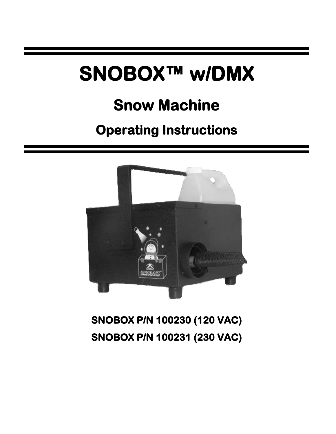# **SNOBOX™ w/DMX**

## **Snow Machine**

## **Operating Instructions**



**SNOBOX P/N 100230 (120 VAC) SNOBOX P/N 100231 (230 VAC)**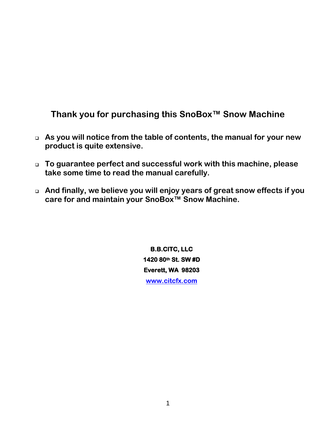**Thank you for purchasing this SnoBox™ Snow Machine**

- ❑ **As you will notice from the table of contents, the manual for your new product is quite extensive.**
- ❑ **To guarantee perfect and successful work with this machine, please take some time to read the manual carefully.**
- ❑ **And finally, we believe you will enjoy years of great snow effects if you care for and maintain your SnoBox™ Snow Machine.**

**B.B.CITC, LLC 1420 80th St. SW #D Everett, WA 98203 [www.citcfx.com](http://www.citcfx.com/)**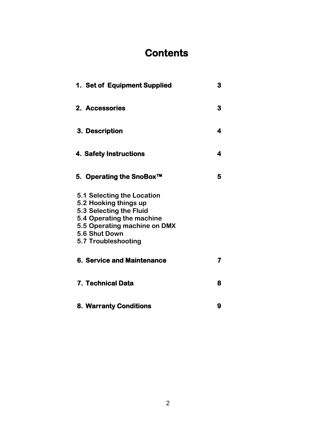## **Contents**

| 1. Set of Equipment Supplied                                                                                                                                                        | 3 |
|-------------------------------------------------------------------------------------------------------------------------------------------------------------------------------------|---|
| 2. Accessories                                                                                                                                                                      | 3 |
| 3. Description                                                                                                                                                                      | 4 |
| 4. Safety Instructions                                                                                                                                                              | 4 |
| 5. Operating the SnoBox™                                                                                                                                                            | 5 |
| 5.1 Selecting the Location<br>5.2 Hooking things up<br>5.3 Selecting the Fluid<br>5.4 Operating the machine<br>5.5 Operating machine on DMX<br>5.6 Shut Down<br>5.7 Troubleshooting |   |
| <b>6. Service and Maintenance</b>                                                                                                                                                   | 7 |
| 7. Technical Data                                                                                                                                                                   | 8 |
| <b>8. Warranty Conditions</b>                                                                                                                                                       | 9 |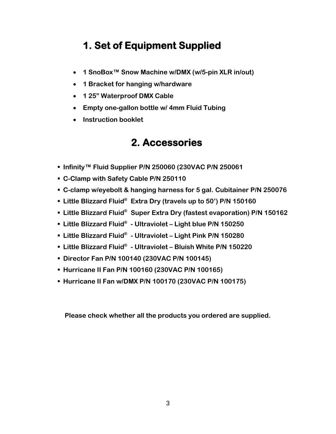## **1. Set of Equipment Supplied**

- **1 SnoBox™ Snow Machine w/DMX (w/5-pin XLR in/out)**
- **1 Bracket for hanging w/hardware**
- **1 25" Waterproof DMX Cable**
- **Empty one-gallon bottle w/ 4mm Fluid Tubing**
- **Instruction booklet**

## **2. Accessories**

- Infinity<sup>™</sup> Fluid Supplier P/N 250060 (230VAC P/N 250061
- **C-Clamp with Safety Cable P/N 250110**
- **C-clamp w/eyebolt & hanging harness for 5 gal. Cubitainer P/N 250076**
- **Little Blizzard Fluid® Extra Dry (travels up to 50') P/N 150160**
- **Little Blizzard Fluid® Super Extra Dry (fastest evaporation) P/N 150162**
- **Little Blizzard Fluid® - Ultraviolet – Light blue P/N 150250**
- **Little Blizzard Fluid® - Ultraviolet – Light Pink P/N 150280**
- **Little Blizzard Fluid® - Ultraviolet – Bluish White P/N 150220**
- **Director Fan P/N 100140 (230VAC P/N 100145)**
- **Hurricane II Fan P/N 100160 (230VAC P/N 100165)**
- **Hurricane II Fan w/DMX P/N 100170 (230VAC P/N 100175)**

**Please check whether all the products you ordered are supplied.**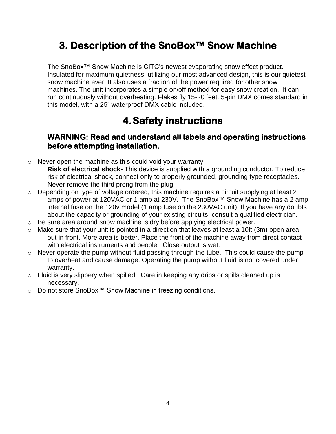## **3. Description of the SnoBox™ Snow Machine**

The SnoBox™ Snow Machine is CITC's newest evaporating snow effect product. Insulated for maximum quietness, utilizing our most advanced design, this is our quietest snow machine ever. It also uses a fraction of the power required for other snow machines. The unit incorporates a simple on/off method for easy snow creation. It can run continuously without overheating. Flakes fly 15-20 feet. 5-pin DMX comes standard in this model, with a 25" waterproof DMX cable included.

## **4.Safety instructions**

#### **WARNING: Read and understand all labels and operating instructions before attempting installation.**

- o Never open the machine as this could void your warranty! **Risk of electrical shock-** This device is supplied with a grounding conductor. To reduce risk of electrical shock, connect only to properly grounded, grounding type receptacles. Never remove the third prong from the plug.
- o Depending on type of voltage ordered, this machine requires a circuit supplying at least 2 amps of power at 120VAC or 1 amp at 230V. The SnoBox™ Snow Machine has a 2 amp internal fuse on the 120v model (1 amp fuse on the 230VAC unit). If you have any doubts about the capacity or grounding of your existing circuits, consult a qualified electrician.
- o Be sure area around snow machine is dry before applying electrical power.
- $\circ$  Make sure that your unit is pointed in a direction that leaves at least a 10ft (3m) open area out in front. More area is better. Place the front of the machine away from direct contact with electrical instruments and people. Close output is wet.
- $\circ$  Never operate the pump without fluid passing through the tube. This could cause the pump to overheat and cause damage. Operating the pump without fluid is not covered under warranty.
- o Fluid is very slippery when spilled. Care in keeping any drips or spills cleaned up is necessary.
- o Do not store SnoBox™ Snow Machine in freezing conditions.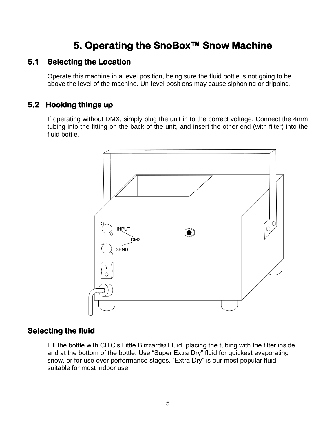## **5. Operating the SnoBox™ Snow Machine**

#### **5.1 Selecting the Location**

Operate this machine in a level position, being sure the fluid bottle is not going to be above the level of the machine. Un-level positions may cause siphoning or dripping.

#### **5.2 Hooking things up**

If operating without DMX, simply plug the unit in to the correct voltage. Connect the 4mm tubing into the fitting on the back of the unit, and insert the other end (with filter) into the fluid bottle.



#### **Selecting the fluid**

Fill the bottle with CITC's Little Blizzard® Fluid, placing the tubing with the filter inside and at the bottom of the bottle. Use "Super Extra Dry" fluid for quickest evaporating snow, or for use over performance stages. "Extra Dry" is our most popular fluid, suitable for most indoor use.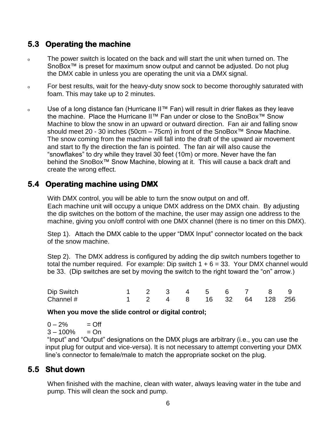#### **5.3 Operating the machine**

- <sup>o</sup> The power switch is located on the back and will start the unit when turned on. The SnoBox<sup>™</sup> is preset for maximum snow output and cannot be adjusted. Do not plug the DMX cable in unless you are operating the unit via a DMX signal.
- <sup>o</sup> For best results, wait for the heavy-duty snow sock to become thoroughly saturated with foam. This may take up to 2 minutes.
- <sup>o</sup> Use of a long distance fan (Hurricane II™ Fan) will result in drier flakes as they leave the machine. Place the Hurricane II™ Fan under or close to the SnoBox™ Snow Machine to blow the snow in an upward or outward direction. Fan air and falling snow should meet 20 - 30 inches (50cm – 75cm) in front of the SnoBox™ Snow Machine. The snow coming from the machine will fall into the draft of the upward air movement and start to fly the direction the fan is pointed. The fan air will also cause the "snowflakes" to dry while they travel 30 feet (10m) or more. Never have the fan behind the SnoBox<sup>™</sup> Snow Machine, blowing at it. This will cause a back draft and create the wrong effect.

#### **5.4 Operating machine using DMX**

With DMX control, you will be able to turn the snow output on and off. Each machine unit will occupy a unique DMX address on the DMX chain. By adjusting the dip switches on the bottom of the machine, the user may assign one address to the machine, giving you on/off control with one DMX channel (there is no timer on this DMX).

Step 1). Attach the DMX cable to the upper "DMX Input" connector located on the back of the snow machine.

Step 2). The DMX address is configured by adding the dip switch numbers together to total the number required. For example: Dip switch  $1 + 6 = 33$ . Your DMX channel would be 33. (Dip switches are set by moving the switch to the right toward the "on" arrow.)

| Dip Switch |  |  |  | 1 2 3 4 5 6 7 8 9        |  |
|------------|--|--|--|--------------------------|--|
| Channel #  |  |  |  | 1 2 4 8 16 32 64 128 256 |  |

**When you move the slide control or digital control;**

 $0 - 2\% = \text{Off}$ 

 $3 - 100\% = On$ 

"Input" and "Output" designations on the DMX plugs are arbitrary (i.e., you can use the input plug for output and vice-versa). It is not necessary to attempt converting your DMX line's connector to female/male to match the appropriate socket on the plug.

#### **5.5 Shut down**

When finished with the machine, clean with water, always leaving water in the tube and pump. This will clean the sock and pump.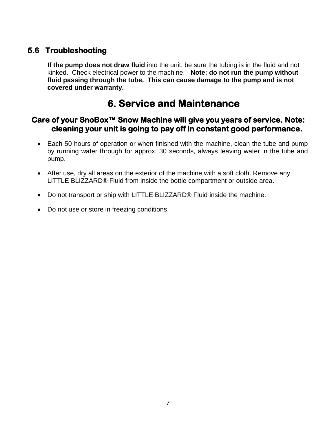#### **5.6 Troubleshooting**

**If the pump does not draw fluid** into the unit, be sure the tubing is in the fluid and not kinked. Check electrical power to the machine. **Note: do not run the pump without fluid passing through the tube. This can cause damage to the pump and is not covered under warranty.**

### **6. Service and Maintenance**

#### **Care of your SnoBox™ Snow Machine will give you years of service. Note: cleaning your unit is going to pay off in constant good performance.**

- Each 50 hours of operation or when finished with the machine, clean the tube and pump by running water through for approx. 30 seconds, always leaving water in the tube and pump.
- After use, dry all areas on the exterior of the machine with a soft cloth. Remove any LITTLE BLIZZARD® Fluid from inside the bottle compartment or outside area.
- Do not transport or ship with LITTLE BLIZZARD® Fluid inside the machine.
- Do not use or store in freezing conditions.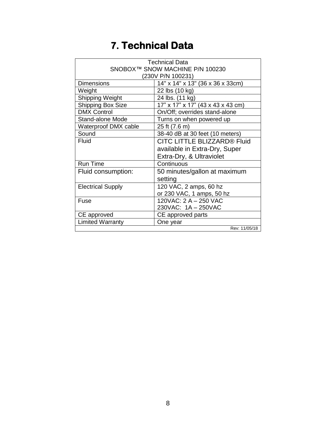## **7. Technical Data**

| <b>Technical Data</b>           |                                   |  |  |  |
|---------------------------------|-----------------------------------|--|--|--|
| SNOBOX™ SNOW MACHINE P/N 100230 |                                   |  |  |  |
| (230V P/N 100231)               |                                   |  |  |  |
| <b>Dimensions</b>               | 14" x 14" x 13" (36 x 36 x 33cm)  |  |  |  |
| Weight                          | 22 lbs (10 kg)                    |  |  |  |
| Shipping Weight                 | 24 lbs. (11 kg)                   |  |  |  |
| Shipping Box Size               | 17" x 17" x 17" (43 x 43 x 43 cm) |  |  |  |
| <b>DMX Control</b>              | On/Off; overrides stand-alone     |  |  |  |
| <b>Stand-alone Mode</b>         | Turns on when powered up          |  |  |  |
| Waterproof DMX cable            | 25 ft (7.6 m)                     |  |  |  |
| Sound                           | 38-40 dB at 30 feet (10 meters)   |  |  |  |
| <b>Fluid</b>                    | CITC LITTLE BLIZZARD® Fluid       |  |  |  |
|                                 | available in Extra-Dry, Super     |  |  |  |
|                                 | Extra-Dry, & Ultraviolet          |  |  |  |
| <b>Run Time</b>                 | Continuous                        |  |  |  |
| Fluid consumption:              | 50 minutes/gallon at maximum      |  |  |  |
|                                 | setting                           |  |  |  |
| <b>Electrical Supply</b>        | 120 VAC, 2 amps, 60 hz            |  |  |  |
|                                 | or 230 VAC, 1 amps, 50 hz         |  |  |  |
| Fuse                            | 120VAC: 2 A - 250 VAC             |  |  |  |
|                                 | 230VAC: 1A - 250VAC               |  |  |  |
| CE approved                     | CE approved parts                 |  |  |  |
| <b>Limited Warranty</b>         | One year                          |  |  |  |
|                                 | Rev: 11/05/18                     |  |  |  |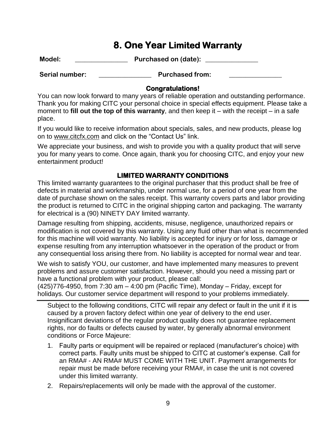### **8. One Year Limited Warranty**

**Model: \_\_\_\_\_\_\_\_\_\_\_\_\_\_\_\_ Purchased on (date): \_\_\_\_\_\_\_\_\_\_\_\_\_\_\_\_**

Serial number: **Example 20 Purchased from:**  $\blacksquare$ 

#### **Congratulations!**

You can now look forward to many years of reliable operation and outstanding performance. Thank you for making CITC your personal choice in special effects equipment. Please take a moment to **fill out the top of this warranty**, and then keep it – with the receipt – in a safe place.

If you would like to receive information about specials, sales, and new products, please log on to www.citcfx.com and click on the "Contact Us" link.

We appreciate your business, and wish to provide you with a quality product that will serve you for many years to come. Once again, thank you for choosing CITC, and enjoy your new entertainment product!

#### **LIMITED WARRANTY CONDITIONS**

This limited warranty guarantees to the original purchaser that this product shall be free of defects in material and workmanship, under normal use, for a period of one year from the date of purchase shown on the sales receipt. This warranty covers parts and labor providing the product is returned to CITC in the original shipping carton and packaging. The warranty for electrical is a (90) NINETY DAY limited warranty.

Damage resulting from shipping, accidents, misuse, negligence, unauthorized repairs or modification is not covered by this warranty. Using any fluid other than what is recommended for this machine will void warranty. No liability is accepted for injury or for loss, damage or expense resulting from any interruption whatsoever in the operation of the product or from any consequential loss arising there from. No liability is accepted for normal wear and tear.

We wish to satisfy YOU, our customer, and have implemented many measures to prevent problems and assure customer satisfaction. However, should you need a missing part or have a functional problem with your product, please call:

 $(425)776-4950$ , from 7:30 am  $-4:00$  pm (Pacific Time), Monday  $-$  Friday, except for holidays. Our customer service department will respond to your problems immediately.

Subject to the following conditions, CITC will repair any defect or fault in the unit if it is caused by a proven factory defect within one year of delivery to the end user. Insignificant deviations of the regular product quality does not guarantee replacement rights, nor do faults or defects caused by water, by generally abnormal environment conditions or Force Majeure:

- 1. Faulty parts or equipment will be repaired or replaced (manufacturer's choice) with correct parts. Faulty units must be shipped to CITC at customer's expense. Call for an RMA# - AN RMA# MUST COME WITH THE UNIT. Payment arrangements for repair must be made before receiving your RMA#, in case the unit is not covered under this limited warranty.
- 2. Repairs/replacements will only be made with the approval of the customer.